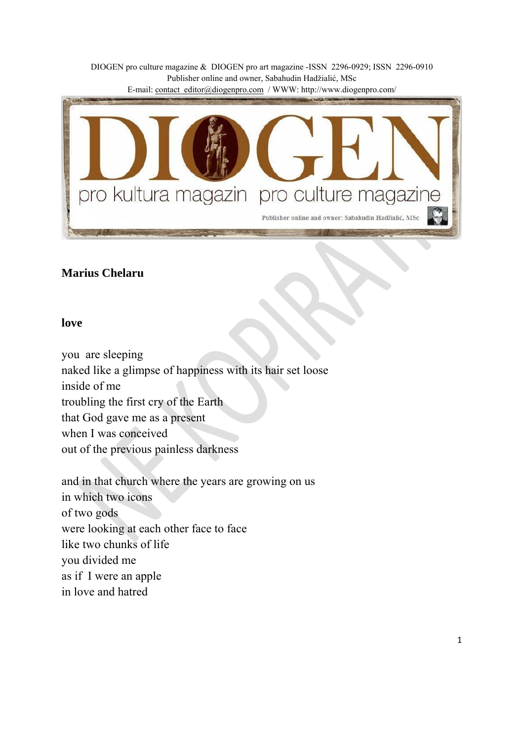DIOGEN pro culture magazine & DIOGEN pro art magazine -ISSN 2296-0929; ISSN 2296-0910 Publisher online and owner, Sabahudin Hadžialić, MSc

E-mail: contact\_editor@diogenpro.com / WWW: http://www.diogenpro.com/



### **Marius Chelaru**

#### **love**

you are sleeping naked like a glimpse of happiness with its hair set loose inside of me troubling the first cry of the Earth that God gave me as a present when I was conceived out of the previous painless darkness

and in that church where the years are growing on us in which two icons of two gods were looking at each other face to face like two chunks of life you divided me as if I were an apple in love and hatred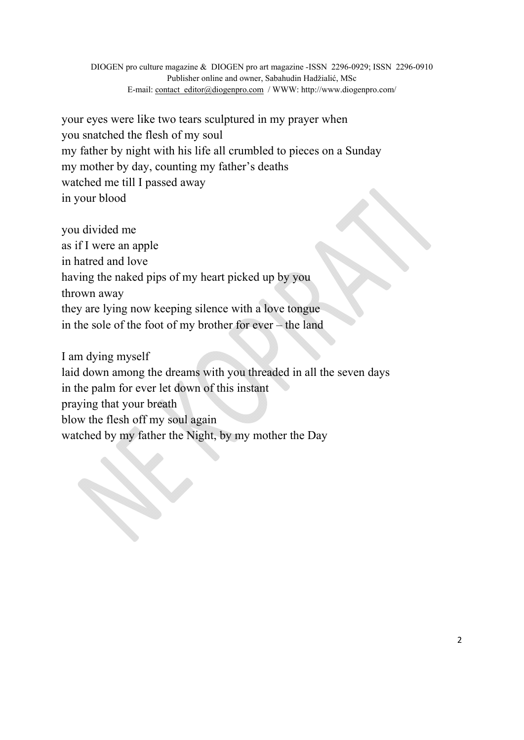your eyes were like two tears sculptured in my prayer when you snatched the flesh of my soul my father by night with his life all crumbled to pieces on a Sunday my mother by day, counting my father's deaths watched me till I passed away in your blood

you divided me as if I were an apple in hatred and love having the naked pips of my heart picked up by you thrown away they are lying now keeping silence with a love tongue in the sole of the foot of my brother for ever – the land

I am dying myself laid down among the dreams with you threaded in all the seven days in the palm for ever let down of this instant praying that your breath blow the flesh off my soul again watched by my father the Night, by my mother the Day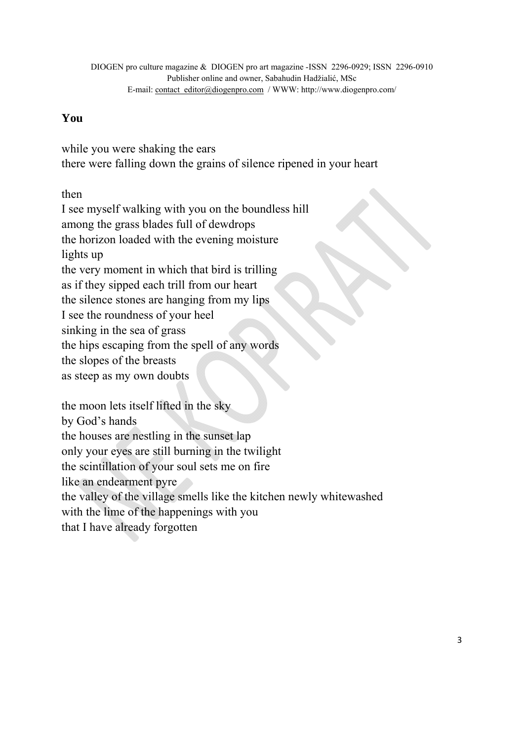# **You**

while you were shaking the ears there were falling down the grains of silence ripened in your heart

then

I see myself walking with you on the boundless hill

among the grass blades full of dewdrops

the horizon loaded with the evening moisture

lights up

the very moment in which that bird is trilling

as if they sipped each trill from our heart

the silence stones are hanging from my lips

I see the roundness of your heel

sinking in the sea of grass

the hips escaping from the spell of any words

the slopes of the breasts

as steep as my own doubts

the moon lets itself lifted in the sky

by God's hands

the houses are nestling in the sunset lap

only your eyes are still burning in the twilight

the scintillation of your soul sets me on fire

like an endearment pyre

the valley of the village smells like the kitchen newly whitewashed

with the lime of the happenings with you

that I have already forgotten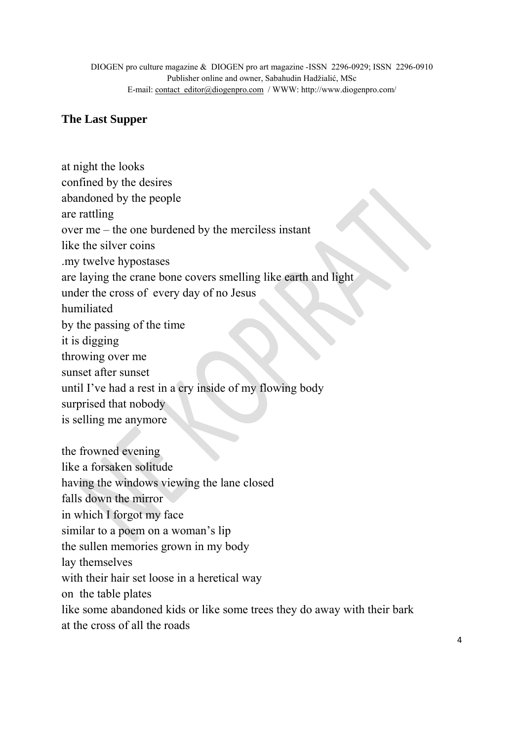# **The Last Supper**

at night the looks confined by the desires abandoned by the people are rattling over me – the one burdened by the merciless instant like the silver coins .my twelve hypostases are laying the crane bone covers smelling like earth and light under the cross of every day of no Jesus humiliated by the passing of the time it is digging throwing over me sunset after sunset until I've had a rest in a cry inside of my flowing body surprised that nobody is selling me anymore the frowned evening like a forsaken solitude having the windows viewing the lane closed falls down the mirror in which I forgot my face similar to a poem on a woman's lip the sullen memories grown in my body lay themselves with their hair set loose in a heretical way on the table plates like some abandoned kids or like some trees they do away with their bark at the cross of all the roads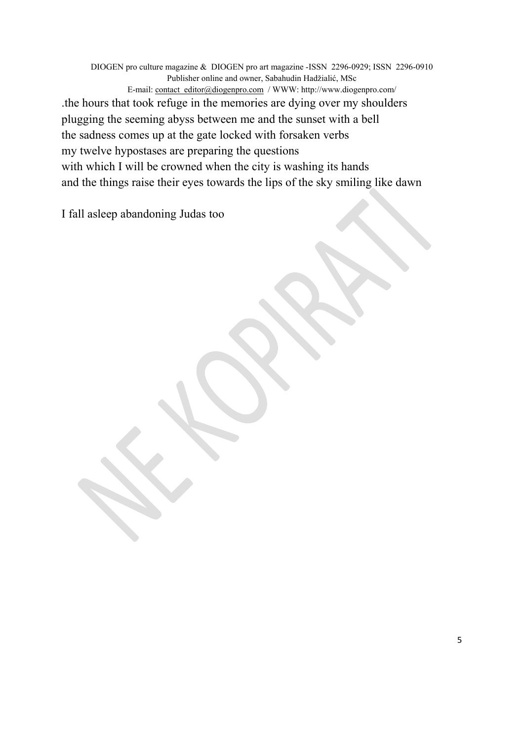DIOGEN pro culture magazine & DIOGEN pro art magazine -ISSN 2296-0929; ISSN 2296-0910 Publisher online and owner, Sabahudin Hadžialić, MSc E-mail: contact\_editor@diogenpro.com / WWW: http://www.diogenpro.com/ .the hours that took refuge in the memories are dying over my shoulders plugging the seeming abyss between me and the sunset with a bell the sadness comes up at the gate locked with forsaken verbs my twelve hypostases are preparing the questions with which I will be crowned when the city is washing its hands and the things raise their eyes towards the lips of the sky smiling like dawn

I fall asleep abandoning Judas too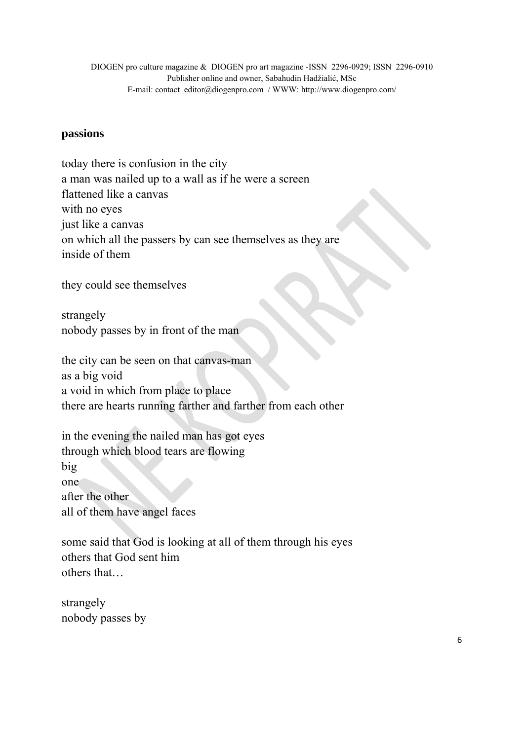### **passions**

today there is confusion in the city a man was nailed up to a wall as if he were a screen flattened like a canvas with no eyes just like a canvas on which all the passers by can see themselves as they are inside of them

they could see themselves

strangely nobody passes by in front of the man

the city can be seen on that canvas-man as a big void a void in which from place to place there are hearts running farther and farther from each other

in the evening the nailed man has got eyes through which blood tears are flowing big one after the other all of them have angel faces

some said that God is looking at all of them through his eyes others that God sent him others that…

strangely nobody passes by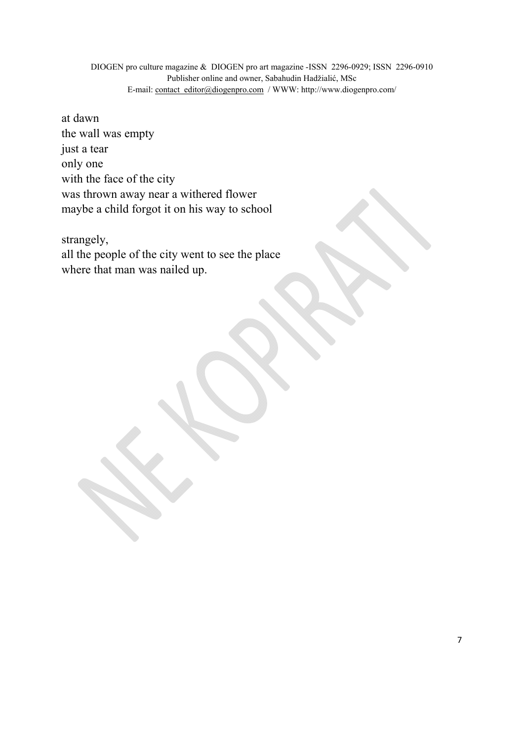at dawn the wall was empty just a tear only one with the face of the city was thrown away near a withered flower maybe a child forgot it on his way to school

strangely, all the people of the city went to see the place where that man was nailed up.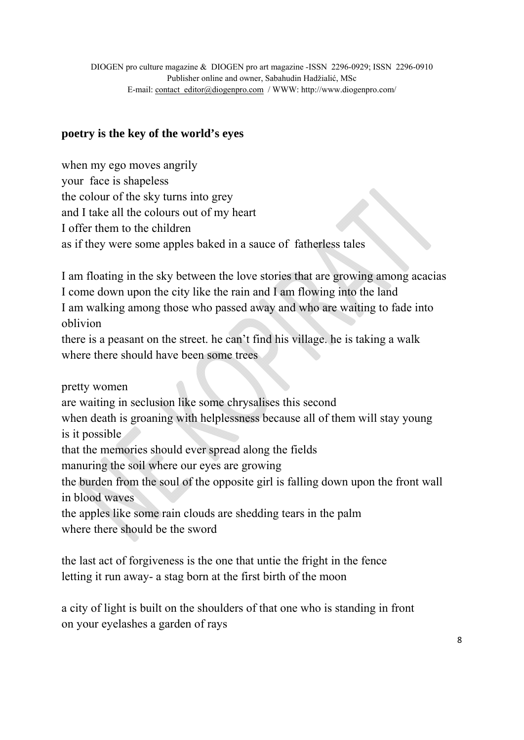# **poetry is the key of the world's eyes**

when my ego moves angrily your face is shapeless the colour of the sky turns into grey and I take all the colours out of my heart I offer them to the children as if they were some apples baked in a sauce of fatherless tales

I am floating in the sky between the love stories that are growing among acacias I come down upon the city like the rain and I am flowing into the land I am walking among those who passed away and who are waiting to fade into oblivion

there is a peasant on the street. he can't find his village. he is taking a walk where there should have been some trees

pretty women

are waiting in seclusion like some chrysalises this second

when death is groaning with helplessness because all of them will stay young is it possible

that the memories should ever spread along the fields

manuring the soil where our eyes are growing

the burden from the soul of the opposite girl is falling down upon the front wall in blood waves

the apples like some rain clouds are shedding tears in the palm where there should be the sword

the last act of forgiveness is the one that untie the fright in the fence letting it run away- a stag born at the first birth of the moon

a city of light is built on the shoulders of that one who is standing in front on your eyelashes a garden of rays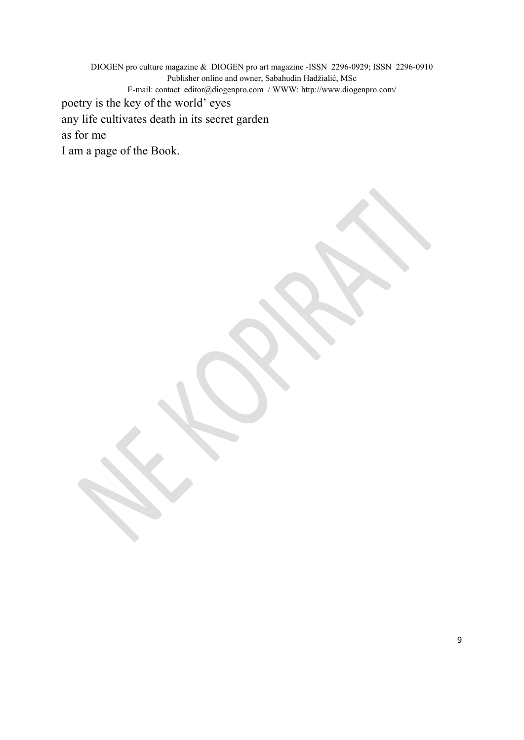DIOGEN pro culture magazine & DIOGEN pro art magazine -ISSN 2296-0929; ISSN 2296-0910 Publisher online and owner, Sabahudin Hadžialić, MSc E-mail: contact\_editor@diogenpro.com / WWW: http://www.diogenpro.com/ poetry is the key of the world' eyes any life cultivates death in its secret garden as for me I am a page of the Book.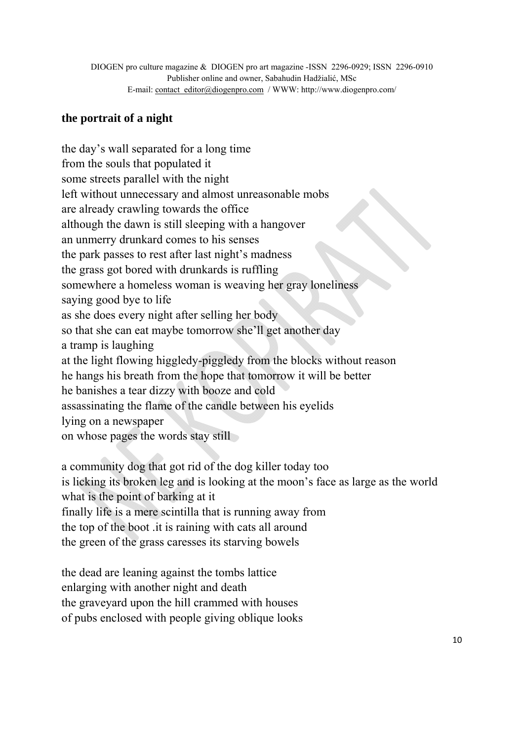# **the portrait of a night**

the day's wall separated for a long time from the souls that populated it some streets parallel with the night left without unnecessary and almost unreasonable mobs are already crawling towards the office although the dawn is still sleeping with a hangover an unmerry drunkard comes to his senses the park passes to rest after last night's madness the grass got bored with drunkards is ruffling somewhere a homeless woman is weaving her gray loneliness saying good bye to life as she does every night after selling her body so that she can eat maybe tomorrow she'll get another day a tramp is laughing at the light flowing higgledy-piggledy from the blocks without reason he hangs his breath from the hope that tomorrow it will be better he banishes a tear dizzy with booze and cold assassinating the flame of the candle between his eyelids lying on a newspaper on whose pages the words stay still

a community dog that got rid of the dog killer today too is licking its broken leg and is looking at the moon's face as large as the world what is the point of barking at it finally life is a mere scintilla that is running away from the top of the boot .it is raining with cats all around the green of the grass caresses its starving bowels

the dead are leaning against the tombs lattice enlarging with another night and death the graveyard upon the hill crammed with houses of pubs enclosed with people giving oblique looks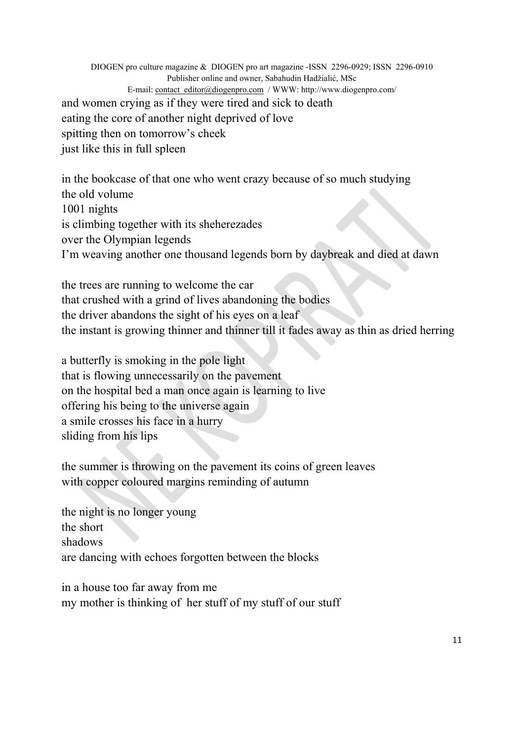DIOGEN pro culture magazine & DIOGEN pro art magazine -ISSN 2296-0929; ISSN 2296-0910 Publisher online and owner, Sabahudin Hadžialić, MSc E-mail: contact\_editor@diogenpro.com / WWW: http://www.diogenpro.com/ and women crying as if they were tired and sick to death eating the core of another night deprived of love spitting then on tomorrow's cheek just like this in full spleen

in the bookcase of that one who went crazy because of so much studying the old volume 1001 nights is climbing together with its sheherezades over the Olympian legends I'm weaving another one thousand legends born by daybreak and died at dawn

the trees are running to welcome the car that crushed with a grind of lives abandoning the bodies the driver abandons the sight of his eyes on a leaf the instant is growing thinner and thinner till it fades away as thin as dried herring

a butterfly is smoking in the pole light that is flowing unnecessarily on the pavement on the hospital bed a man once again is learning to live offering his being to the universe again a smile crosses his face in a hurry sliding from his lips

the summer is throwing on the pavement its coins of green leaves with copper coloured margins reminding of autumn

the night is no longer young the short shadows are dancing with echoes forgotten between the blocks

in a house too far away from me my mother is thinking of her stuff of my stuff of our stuff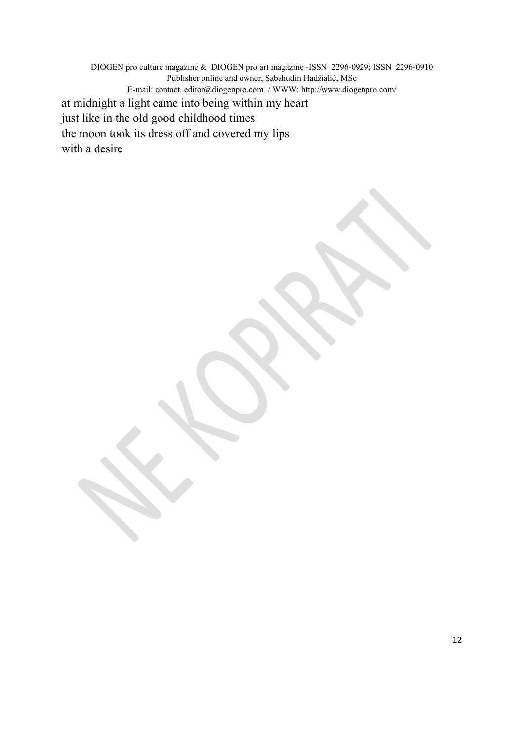DIOGEN pro culture magazine & DIOGEN pro art magazine -ISSN 2296-0929; ISSN 2296-0910 Publisher online and owner, Sabahudin Hadžialić, MSc E-mail: contact\_editor@diogenpro.com / WWW: http://www.diogenpro.com/ at midnight a light came into being within my heart just like in the old good childhood times the moon took its dress off and covered my lips with a desire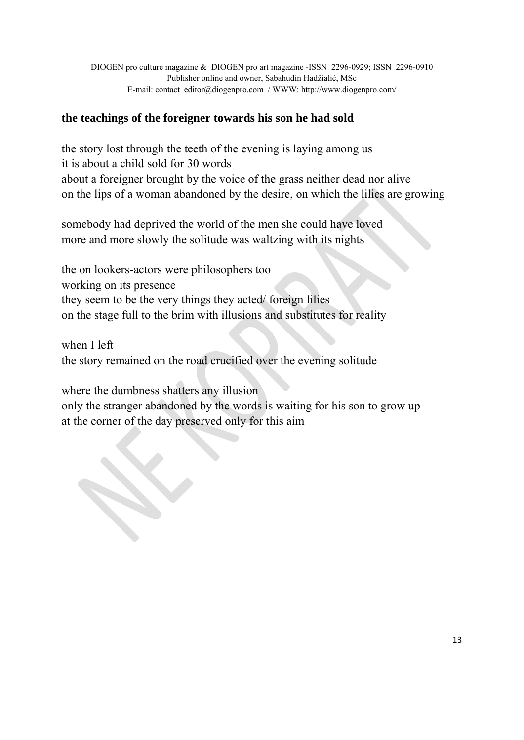# **the teachings of the foreigner towards his son he had sold**

the story lost through the teeth of the evening is laying among us it is about a child sold for 30 words about a foreigner brought by the voice of the grass neither dead nor alive on the lips of a woman abandoned by the desire, on which the lilies are growing

somebody had deprived the world of the men she could have loved more and more slowly the solitude was waltzing with its nights

the on lookers-actors were philosophers too working on its presence they seem to be the very things they acted/ foreign lilies on the stage full to the brim with illusions and substitutes for reality

when I left the story remained on the road crucified over the evening solitude

 $\boldsymbol{\mathsf{x}}$ 

where the dumbness shatters any illusion only the stranger abandoned by the words is waiting for his son to grow up at the corner of the day preserved only for this aim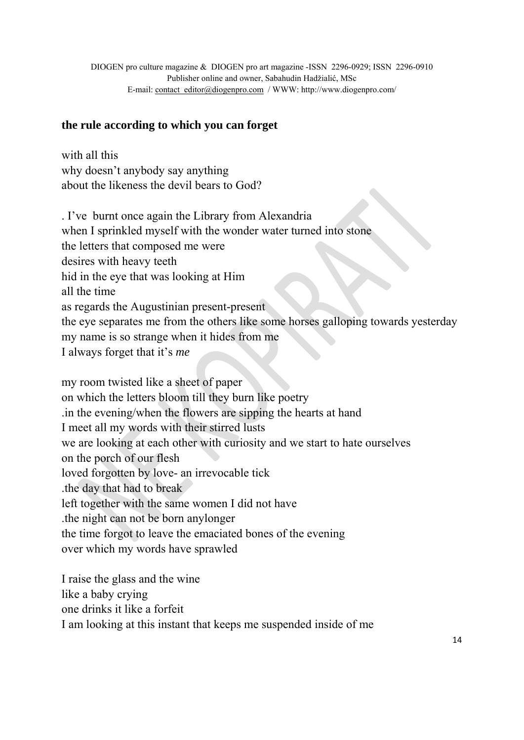### **the rule according to which you can forget**

with all this why doesn't anybody say anything about the likeness the devil bears to God?

. I've burnt once again the Library from Alexandria when I sprinkled myself with the wonder water turned into stone the letters that composed me were desires with heavy teeth hid in the eye that was looking at Him all the time as regards the Augustinian present-present the eye separates me from the others like some horses galloping towards yesterday my name is so strange when it hides from me I always forget that it's *me* 

my room twisted like a sheet of paper on which the letters bloom till they burn like poetry .in the evening/when the flowers are sipping the hearts at hand I meet all my words with their stirred lusts we are looking at each other with curiosity and we start to hate ourselves on the porch of our flesh loved forgotten by love- an irrevocable tick .the day that had to break left together with the same women I did not have .the night can not be born anylonger the time forgot to leave the emaciated bones of the evening over which my words have sprawled

I raise the glass and the wine like a baby crying one drinks it like a forfeit I am looking at this instant that keeps me suspended inside of me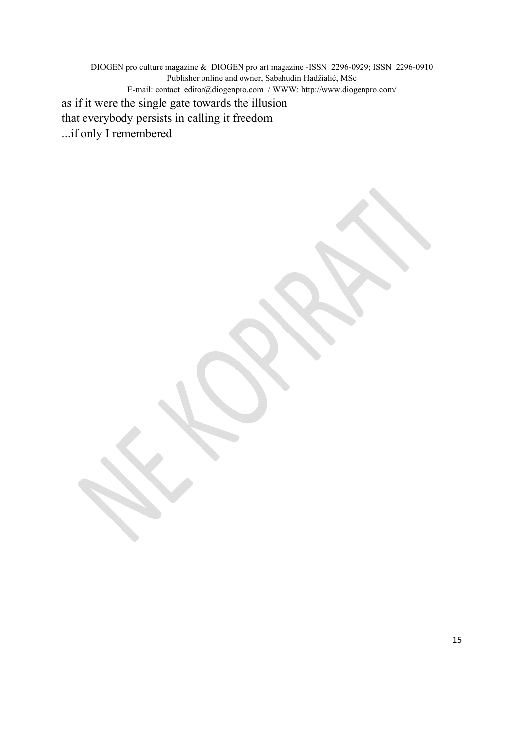DIOGEN pro culture magazine & DIOGEN pro art magazine -ISSN 2296-0929; ISSN 2296-0910 Publisher online and owner, Sabahudin Hadžialić, MSc E-mail: contact\_editor@diogenpro.com / WWW: http://www.diogenpro.com/ as if it were the single gate towards the illusion that everybody persists in calling it freedom ...if only I remembered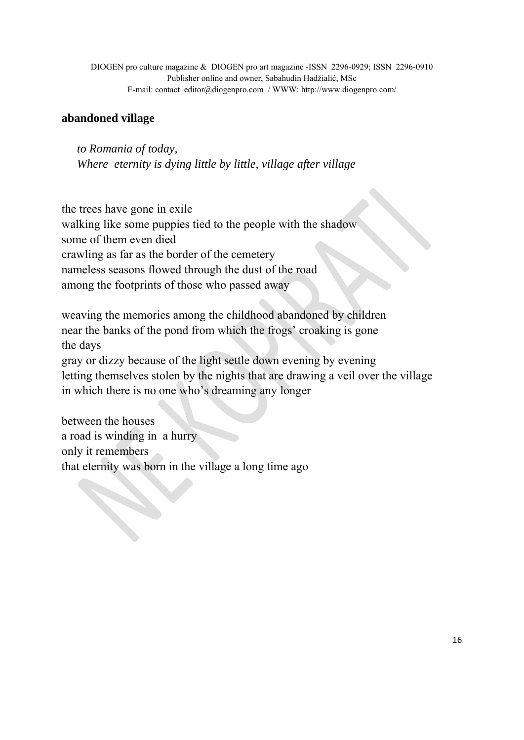## **abandoned village**

*to Romania of today, Where eternity is dying little by little, village after village* 

the trees have gone in exile walking like some puppies tied to the people with the shadow some of them even died crawling as far as the border of the cemetery nameless seasons flowed through the dust of the road among the footprints of those who passed away

weaving the memories among the childhood abandoned by children near the banks of the pond from which the frogs' croaking is gone the days gray or dizzy because of the light settle down evening by evening letting themselves stolen by the nights that are drawing a veil over the village in which there is no one who's dreaming any longer

between the houses a road is winding in a hurry only it remembers that eternity was born in the village a long time ago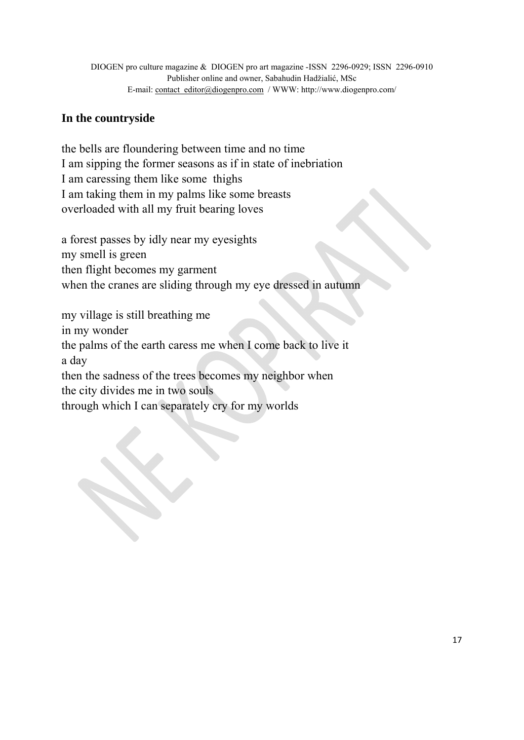# **In the countryside**

the bells are floundering between time and no time I am sipping the former seasons as if in state of inebriation I am caressing them like some thighs I am taking them in my palms like some breasts overloaded with all my fruit bearing loves

a forest passes by idly near my eyesights my smell is green then flight becomes my garment when the cranes are sliding through my eye dressed in autumn

my village is still breathing me in my wonder the palms of the earth caress me when I come back to live it a day then the sadness of the trees becomes my neighbor when the city divides me in two souls through which I can separately cry for my worlds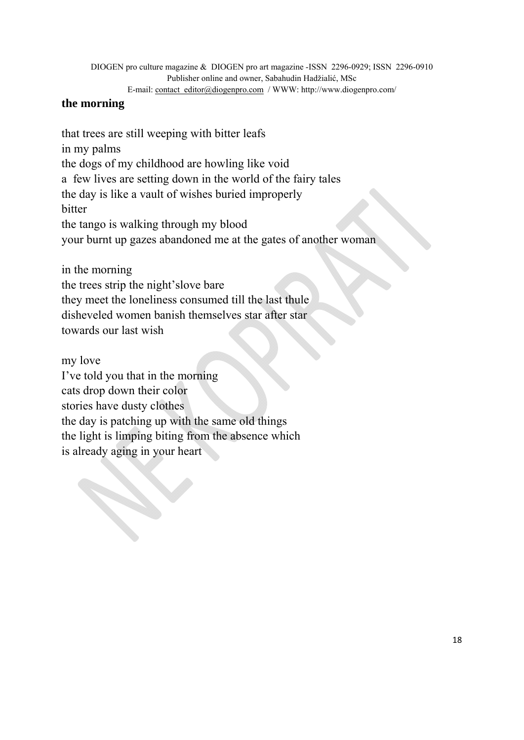DIOGEN pro culture magazine & DIOGEN pro art magazine -ISSN 2296-0929; ISSN 2296-0910 Publisher online and owner, Sabahudin Hadžialić, MSc

E-mail: contact\_editor@diogenpro.com / WWW: http://www.diogenpro.com/

## **the morning**

that trees are still weeping with bitter leafs in my palms the dogs of my childhood are howling like void a few lives are setting down in the world of the fairy tales the day is like a vault of wishes buried improperly bitter the tango is walking through my blood your burnt up gazes abandoned me at the gates of another woman

in the morning the trees strip the night'slove bare they meet the loneliness consumed till the last thule disheveled women banish themselves star after star towards our last wish

my love I've told you that in the morning cats drop down their color stories have dusty clothes the day is patching up with the same old things the light is limping biting from the absence which is already aging in your heart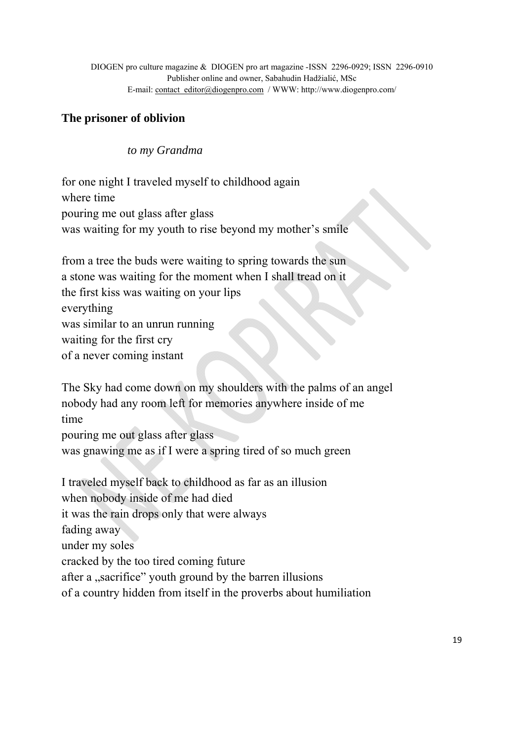## **The prisoner of oblivion**

 *to my Grandma* 

for one night I traveled myself to childhood again where time pouring me out glass after glass was waiting for my youth to rise beyond my mother's smile

from a tree the buds were waiting to spring towards the sun a stone was waiting for the moment when I shall tread on it the first kiss was waiting on your lips everything was similar to an unrun running waiting for the first cry of a never coming instant

The Sky had come down on my shoulders with the palms of an angel nobody had any room left for memories anywhere inside of me time

pouring me out glass after glass was gnawing me as if I were a spring tired of so much green

I traveled myself back to childhood as far as an illusion when nobody inside of me had died it was the rain drops only that were always fading away under my soles cracked by the too tired coming future after a "sacrifice" youth ground by the barren illusions of a country hidden from itself in the proverbs about humiliation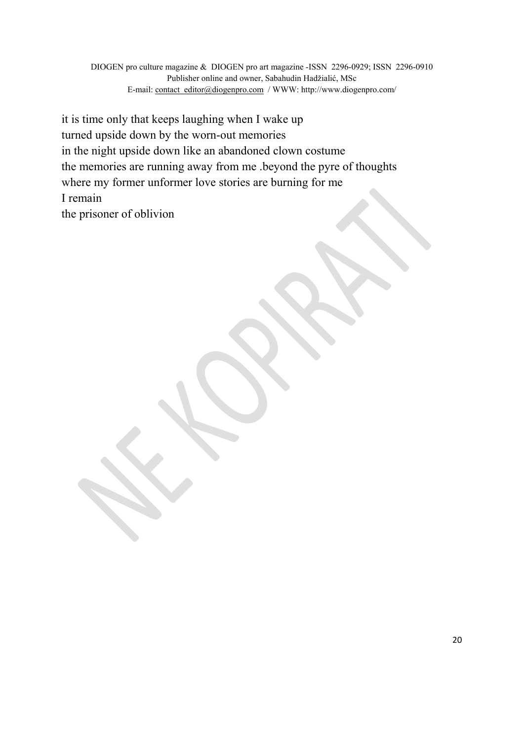it is time only that keeps laughing when I wake up turned upside down by the worn-out memories in the night upside down like an abandoned clown costume the memories are running away from me .beyond the pyre of thoughts where my former unformer love stories are burning for me I remain the prisoner of oblivion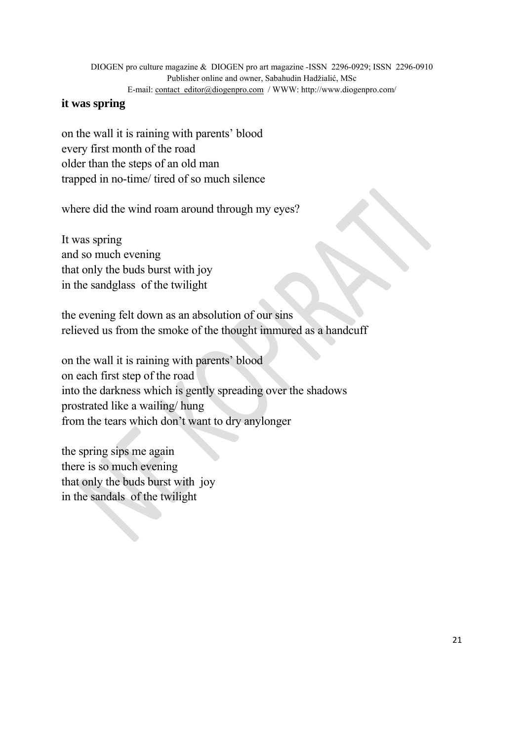### **it was spring**

on the wall it is raining with parents' blood every first month of the road older than the steps of an old man trapped in no-time/ tired of so much silence

where did the wind roam around through my eyes?

It was spring and so much evening that only the buds burst with joy in the sandglass of the twilight

the evening felt down as an absolution of our sins relieved us from the smoke of the thought immured as a handcuff

on the wall it is raining with parents' blood on each first step of the road into the darkness which is gently spreading over the shadows prostrated like a wailing/ hung from the tears which don't want to dry anylonger

the spring sips me again there is so much evening that only the buds burst with joy in the sandals of the twilight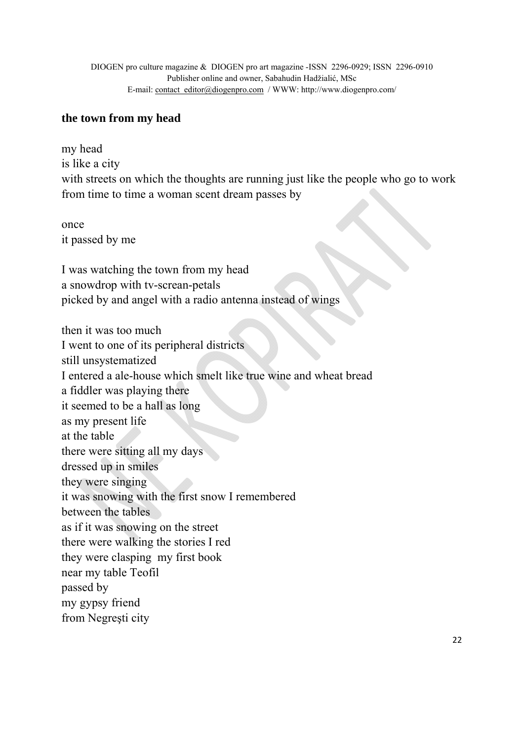## **the town from my head**

my head is like a city with streets on which the thoughts are running just like the people who go to work from time to time a woman scent dream passes by

once it passed by me

I was watching the town from my head a snowdrop with tv-screan-petals picked by and angel with a radio antenna instead of wings

then it was too much I went to one of its peripheral districts still unsystematized I entered a ale-house which smelt like true wine and wheat bread a fiddler was playing there it seemed to be a hall as long as my present life at the table there were sitting all my days dressed up in smiles they were singing it was snowing with the first snow I remembered between the tables as if it was snowing on the street there were walking the stories I red they were clasping my first book near my table Teofil passed by my gypsy friend from Negreşti city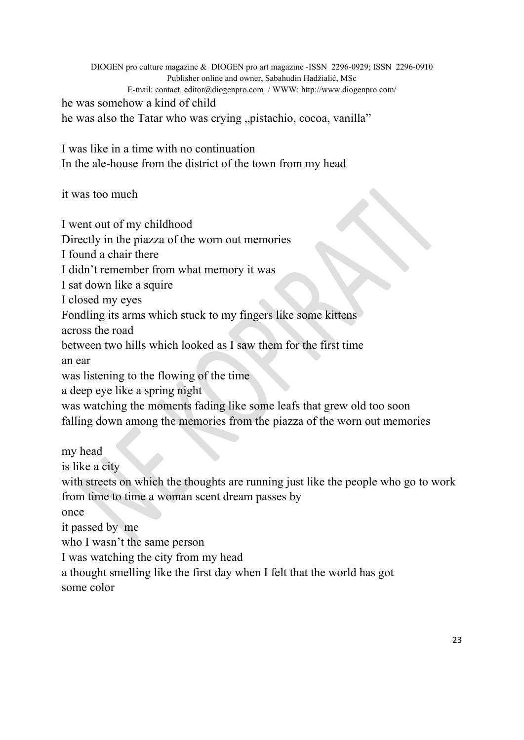DIOGEN pro culture magazine & DIOGEN pro art magazine -ISSN 2296-0929; ISSN 2296-0910 Publisher online and owner, Sabahudin Hadžialić, MSc E-mail: contact\_editor@diogenpro.com / WWW: http://www.diogenpro.com/ he was somehow a kind of child he was also the Tatar who was crying "pistachio, cocoa, vanilla"

I was like in a time with no continuation In the ale-house from the district of the town from my head

it was too much

I went out of my childhood

Directly in the piazza of the worn out memories

I found a chair there

I didn't remember from what memory it was

I sat down like a squire

I closed my eyes

Fondling its arms which stuck to my fingers like some kittens

across the road

between two hills which looked as I saw them for the first time

an ear

was listening to the flowing of the time

a deep eye like a spring night

was watching the moments fading like some leafs that grew old too soon falling down among the memories from the piazza of the worn out memories

my head is like a city with streets on which the thoughts are running just like the people who go to work from time to time a woman scent dream passes by once it passed by me who I wasn't the same person I was watching the city from my head

a thought smelling like the first day when I felt that the world has got some color